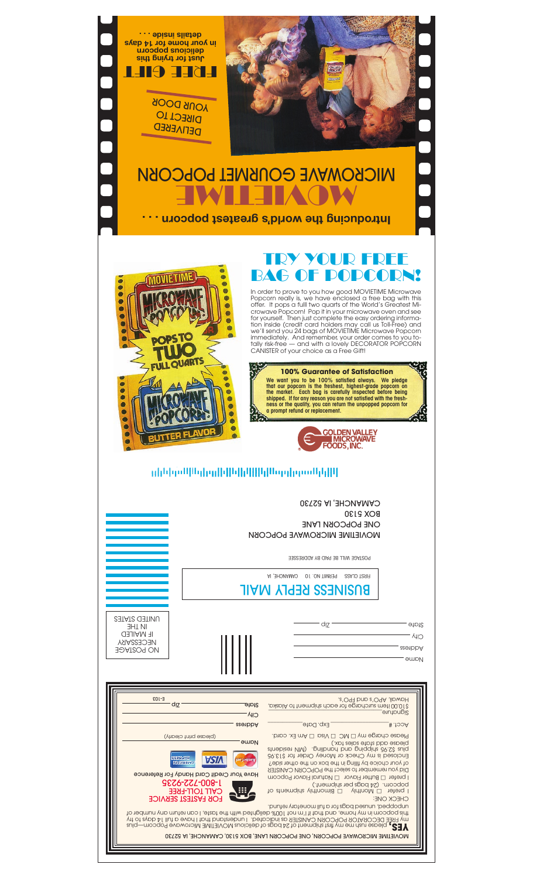